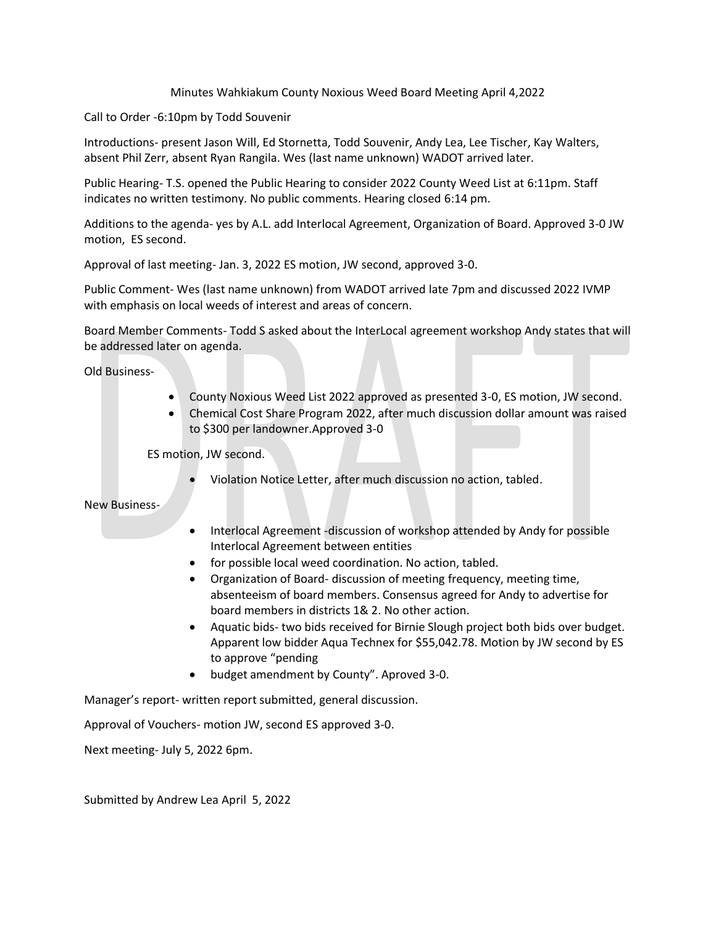## Minutes Wahkiakum County Noxious Weed Board Meeting April 4,2022

Call to Order -6:10pm by Todd Souvenir

Introductions- present Jason Will, Ed Stornetta, Todd Souvenir, Andy Lea, Lee Tischer, Kay Walters, absent Phil Zerr, absent Ryan Rangila. Wes (last name unknown) WADOT arrived later.

Public Hearing- T.S. opened the Public Hearing to consider 2022 County Weed List at 6:11pm. Staff indicates no written testimony. No public comments. Hearing closed 6:14 pm.

Additions to the agenda- yes by A.L. add Interlocal Agreement, Organization of Board. Approved 3-0 JW motion, ES second.

Approval of last meeting- Jan. 3, 2022 ES motion, JW second, approved 3-0.

Public Comment- Wes (last name unknown) from WADOT arrived late 7pm and discussed 2022 IVMP with emphasis on local weeds of interest and areas of concern.

Board Member Comments- Todd S asked about the InterLocal agreement workshop Andy states that will be addressed later on agenda.

Old Business-

- County Noxious Weed List 2022 approved as presented 3-0, ES motion, JW second.
- Chemical Cost Share Program 2022, after much discussion dollar amount was raised to \$300 per landowner.Approved 3-0

ES motion, JW second.

• Violation Notice Letter, after much discussion no action, tabled.

New Business-

- Interlocal Agreement -discussion of workshop attended by Andy for possible Interlocal Agreement between entities
- for possible local weed coordination. No action, tabled.
- Organization of Board- discussion of meeting frequency, meeting time, absenteeism of board members. Consensus agreed for Andy to advertise for board members in districts 1& 2. No other action.
- Aquatic bids- two bids received for Birnie Slough project both bids over budget. Apparent low bidder Aqua Technex for \$55,042.78. Motion by JW second by ES to approve "pending
- budget amendment by County". Aproved 3-0.

Manager's report- written report submitted, general discussion.

Approval of Vouchers- motion JW, second ES approved 3-0.

Next meeting- July 5, 2022 6pm.

Submitted by Andrew Lea April 5, 2022